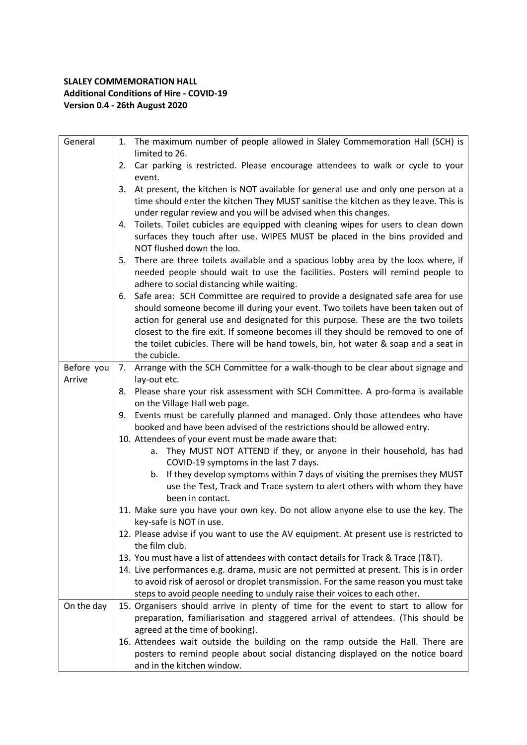## **SLALEY COMMEMORATION HALL Additional Conditions of Hire - COVID-19 Version 0.4 - 26th August 2020**

| General    |    | 1. The maximum number of people allowed in Slaley Commemoration Hall (SCH) is<br>limited to 26.                                                                                                                                                                                                                                                                                                                                                     |
|------------|----|-----------------------------------------------------------------------------------------------------------------------------------------------------------------------------------------------------------------------------------------------------------------------------------------------------------------------------------------------------------------------------------------------------------------------------------------------------|
|            |    | 2. Car parking is restricted. Please encourage attendees to walk or cycle to your<br>event.                                                                                                                                                                                                                                                                                                                                                         |
|            | 3. | At present, the kitchen is NOT available for general use and only one person at a<br>time should enter the kitchen They MUST sanitise the kitchen as they leave. This is<br>under regular review and you will be advised when this changes.                                                                                                                                                                                                         |
|            | 4. | Toilets. Toilet cubicles are equipped with cleaning wipes for users to clean down<br>surfaces they touch after use. WIPES MUST be placed in the bins provided and<br>NOT flushed down the loo.                                                                                                                                                                                                                                                      |
|            | 5. | There are three toilets available and a spacious lobby area by the loos where, if<br>needed people should wait to use the facilities. Posters will remind people to<br>adhere to social distancing while waiting.                                                                                                                                                                                                                                   |
|            | 6. | Safe area: SCH Committee are required to provide a designated safe area for use<br>should someone become ill during your event. Two toilets have been taken out of<br>action for general use and designated for this purpose. These are the two toilets<br>closest to the fire exit. If someone becomes ill they should be removed to one of<br>the toilet cubicles. There will be hand towels, bin, hot water & soap and a seat in<br>the cubicle. |
| Before you | 7. | Arrange with the SCH Committee for a walk-though to be clear about signage and                                                                                                                                                                                                                                                                                                                                                                      |
| Arrive     |    | lay-out etc.<br>8. Please share your risk assessment with SCH Committee. A pro-forma is available<br>on the Village Hall web page.                                                                                                                                                                                                                                                                                                                  |
|            | 9. | Events must be carefully planned and managed. Only those attendees who have<br>booked and have been advised of the restrictions should be allowed entry.                                                                                                                                                                                                                                                                                            |
|            |    | 10. Attendees of your event must be made aware that:<br>a. They MUST NOT ATTEND if they, or anyone in their household, has had<br>COVID-19 symptoms in the last 7 days.                                                                                                                                                                                                                                                                             |
|            |    | b. If they develop symptoms within 7 days of visiting the premises they MUST<br>use the Test, Track and Trace system to alert others with whom they have<br>been in contact.                                                                                                                                                                                                                                                                        |
|            |    | 11. Make sure you have your own key. Do not allow anyone else to use the key. The<br>key-safe is NOT in use.                                                                                                                                                                                                                                                                                                                                        |
|            |    | 12. Please advise if you want to use the AV equipment. At present use is restricted to<br>the film club.                                                                                                                                                                                                                                                                                                                                            |
|            |    | 13. You must have a list of attendees with contact details for Track & Trace (T&T).                                                                                                                                                                                                                                                                                                                                                                 |
|            |    | 14. Live performances e.g. drama, music are not permitted at present. This is in order<br>to avoid risk of aerosol or droplet transmission. For the same reason you must take<br>steps to avoid people needing to unduly raise their voices to each other.                                                                                                                                                                                          |
| On the day |    | 15. Organisers should arrive in plenty of time for the event to start to allow for<br>preparation, familiarisation and staggered arrival of attendees. (This should be<br>agreed at the time of booking).                                                                                                                                                                                                                                           |
|            |    | 16. Attendees wait outside the building on the ramp outside the Hall. There are<br>posters to remind people about social distancing displayed on the notice board<br>and in the kitchen window.                                                                                                                                                                                                                                                     |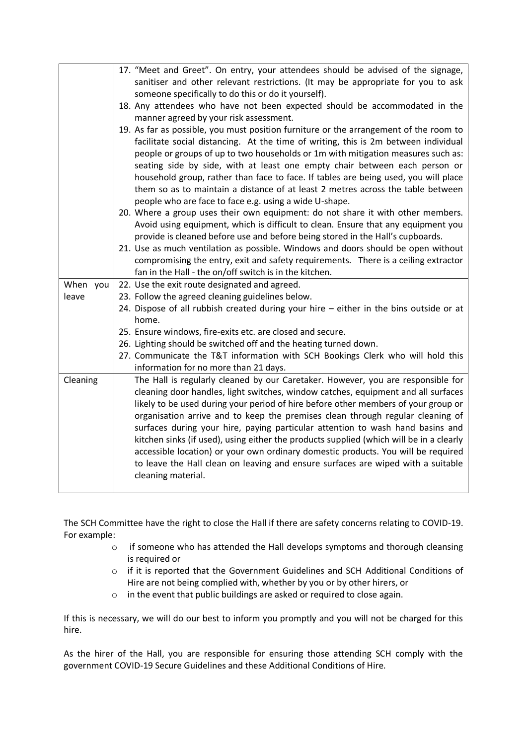|          | 17. "Meet and Greet". On entry, your attendees should be advised of the signage,                                                                                          |  |
|----------|---------------------------------------------------------------------------------------------------------------------------------------------------------------------------|--|
|          | sanitiser and other relevant restrictions. (It may be appropriate for you to ask                                                                                          |  |
|          | someone specifically to do this or do it yourself).                                                                                                                       |  |
|          | 18. Any attendees who have not been expected should be accommodated in the                                                                                                |  |
|          | manner agreed by your risk assessment.                                                                                                                                    |  |
|          | 19. As far as possible, you must position furniture or the arrangement of the room to                                                                                     |  |
|          | facilitate social distancing. At the time of writing, this is 2m between individual                                                                                       |  |
|          | people or groups of up to two households or 1m with mitigation measures such as:                                                                                          |  |
|          | seating side by side, with at least one empty chair between each person or                                                                                                |  |
|          | household group, rather than face to face. If tables are being used, you will place                                                                                       |  |
|          | them so as to maintain a distance of at least 2 metres across the table between                                                                                           |  |
|          | people who are face to face e.g. using a wide U-shape.                                                                                                                    |  |
|          | 20. Where a group uses their own equipment: do not share it with other members.                                                                                           |  |
|          | Avoid using equipment, which is difficult to clean. Ensure that any equipment you<br>provide is cleaned before use and before being stored in the Hall's cupboards.       |  |
|          | 21. Use as much ventilation as possible. Windows and doors should be open without                                                                                         |  |
|          | compromising the entry, exit and safety requirements. There is a ceiling extractor                                                                                        |  |
|          | fan in the Hall - the on/off switch is in the kitchen.                                                                                                                    |  |
| When you | 22. Use the exit route designated and agreed.                                                                                                                             |  |
| leave    | 23. Follow the agreed cleaning guidelines below.                                                                                                                          |  |
|          | 24. Dispose of all rubbish created during your hire - either in the bins outside or at                                                                                    |  |
|          | home.                                                                                                                                                                     |  |
|          | 25. Ensure windows, fire-exits etc. are closed and secure.                                                                                                                |  |
|          | 26. Lighting should be switched off and the heating turned down.                                                                                                          |  |
|          | 27. Communicate the T&T information with SCH Bookings Clerk who will hold this                                                                                            |  |
|          | information for no more than 21 days.                                                                                                                                     |  |
| Cleaning | The Hall is regularly cleaned by our Caretaker. However, you are responsible for                                                                                          |  |
|          | cleaning door handles, light switches, window catches, equipment and all surfaces                                                                                         |  |
|          | likely to be used during your period of hire before other members of your group or                                                                                        |  |
|          | organisation arrive and to keep the premises clean through regular cleaning of                                                                                            |  |
|          | surfaces during your hire, paying particular attention to wash hand basins and<br>kitchen sinks (if used), using either the products supplied (which will be in a clearly |  |
|          | accessible location) or your own ordinary domestic products. You will be required                                                                                         |  |
|          |                                                                                                                                                                           |  |
|          |                                                                                                                                                                           |  |
|          | to leave the Hall clean on leaving and ensure surfaces are wiped with a suitable<br>cleaning material.                                                                    |  |

The SCH Committee have the right to close the Hall if there are safety concerns relating to COVID-19. For example:

- o if someone who has attended the Hall develops symptoms and thorough cleansing is required or
- o if it is reported that the Government Guidelines and SCH Additional Conditions of Hire are not being complied with, whether by you or by other hirers, or
- o in the event that public buildings are asked or required to close again.

If this is necessary, we will do our best to inform you promptly and you will not be charged for this hire.

As the hirer of the Hall, you are responsible for ensuring those attending SCH comply with the government COVID-19 Secure Guidelines and these Additional Conditions of Hire.